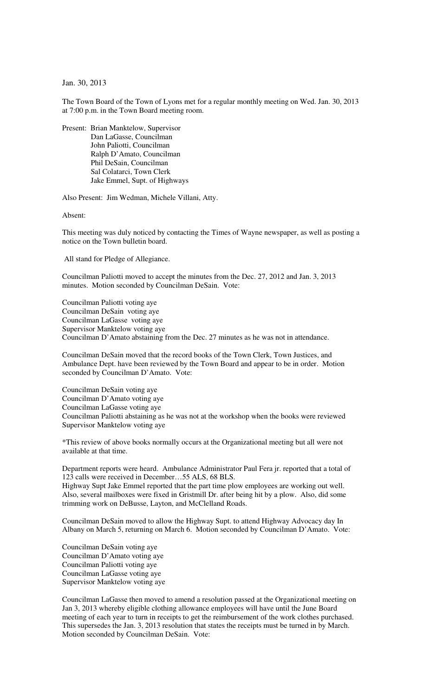Jan. 30, 2013

The Town Board of the Town of Lyons met for a regular monthly meeting on Wed. Jan. 30, 2013 at 7:00 p.m. in the Town Board meeting room.

Present: Brian Manktelow, Supervisor Dan LaGasse, Councilman John Paliotti, Councilman Ralph D'Amato, Councilman Phil DeSain, Councilman Sal Colatarci, Town Clerk Jake Emmel, Supt. of Highways

Also Present: Jim Wedman, Michele Villani, Atty.

Absent:

This meeting was duly noticed by contacting the Times of Wayne newspaper, as well as posting a notice on the Town bulletin board.

All stand for Pledge of Allegiance.

Councilman Paliotti moved to accept the minutes from the Dec. 27, 2012 and Jan. 3, 2013 minutes. Motion seconded by Councilman DeSain. Vote:

Councilman Paliotti voting aye Councilman DeSain voting aye Councilman LaGasse voting aye Supervisor Manktelow voting aye Councilman D'Amato abstaining from the Dec. 27 minutes as he was not in attendance.

Councilman DeSain moved that the record books of the Town Clerk, Town Justices, and Ambulance Dept. have been reviewed by the Town Board and appear to be in order. Motion seconded by Councilman D'Amato. Vote:

Councilman DeSain voting aye Councilman D'Amato voting aye Councilman LaGasse voting aye Councilman Paliotti abstaining as he was not at the workshop when the books were reviewed Supervisor Manktelow voting aye

\*This review of above books normally occurs at the Organizational meeting but all were not available at that time.

Department reports were heard. Ambulance Administrator Paul Fera jr. reported that a total of 123 calls were received in December…55 ALS, 68 BLS.

Highway Supt Jake Emmel reported that the part time plow employees are working out well. Also, several mailboxes were fixed in Gristmill Dr. after being hit by a plow. Also, did some trimming work on DeBusse, Layton, and McClelland Roads.

Councilman DeSain moved to allow the Highway Supt. to attend Highway Advocacy day In Albany on March 5, returning on March 6. Motion seconded by Councilman D'Amato. Vote:

Councilman DeSain voting aye Councilman D'Amato voting aye Councilman Paliotti voting aye Councilman LaGasse voting aye Supervisor Manktelow voting aye

Councilman LaGasse then moved to amend a resolution passed at the Organizational meeting on Jan 3, 2013 whereby eligible clothing allowance employees will have until the June Board meeting of each year to turn in receipts to get the reimbursement of the work clothes purchased. This supersedes the Jan. 3, 2013 resolution that states the receipts must be turned in by March. Motion seconded by Councilman DeSain. Vote: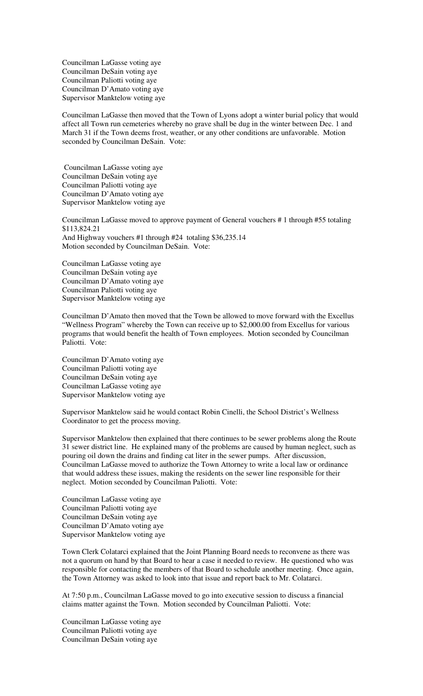Councilman LaGasse voting aye Councilman DeSain voting aye Councilman Paliotti voting aye Councilman D'Amato voting aye Supervisor Manktelow voting aye

Councilman LaGasse then moved that the Town of Lyons adopt a winter burial policy that would affect all Town run cemeteries whereby no grave shall be dug in the winter between Dec. 1 and March 31 if the Town deems frost, weather, or any other conditions are unfavorable. Motion seconded by Councilman DeSain. Vote:

 Councilman LaGasse voting aye Councilman DeSain voting aye Councilman Paliotti voting aye Councilman D'Amato voting aye Supervisor Manktelow voting aye

Councilman LaGasse moved to approve payment of General vouchers # 1 through #55 totaling \$113,824.21 And Highway vouchers #1 through #24 totaling \$36,235.14 Motion seconded by Councilman DeSain. Vote:

Councilman LaGasse voting aye Councilman DeSain voting aye Councilman D'Amato voting aye Councilman Paliotti voting aye Supervisor Manktelow voting aye

Councilman D'Amato then moved that the Town be allowed to move forward with the Excellus "Wellness Program" whereby the Town can receive up to \$2,000.00 from Excellus for various programs that would benefit the health of Town employees. Motion seconded by Councilman Paliotti. Vote:

Councilman D'Amato voting aye Councilman Paliotti voting aye Councilman DeSain voting aye Councilman LaGasse voting aye Supervisor Manktelow voting aye

Supervisor Manktelow said he would contact Robin Cinelli, the School District's Wellness Coordinator to get the process moving.

Supervisor Manktelow then explained that there continues to be sewer problems along the Route 31 sewer district line. He explained many of the problems are caused by human neglect, such as pouring oil down the drains and finding cat liter in the sewer pumps. After discussion, Councilman LaGasse moved to authorize the Town Attorney to write a local law or ordinance that would address these issues, making the residents on the sewer line responsible for their neglect. Motion seconded by Councilman Paliotti. Vote:

Councilman LaGasse voting aye Councilman Paliotti voting aye Councilman DeSain voting aye Councilman D'Amato voting aye Supervisor Manktelow voting aye

Town Clerk Colatarci explained that the Joint Planning Board needs to reconvene as there was not a quorum on hand by that Board to hear a case it needed to review. He questioned who was responsible for contacting the members of that Board to schedule another meeting. Once again, the Town Attorney was asked to look into that issue and report back to Mr. Colatarci.

At 7:50 p.m., Councilman LaGasse moved to go into executive session to discuss a financial claims matter against the Town. Motion seconded by Councilman Paliotti. Vote:

Councilman LaGasse voting aye Councilman Paliotti voting aye Councilman DeSain voting aye